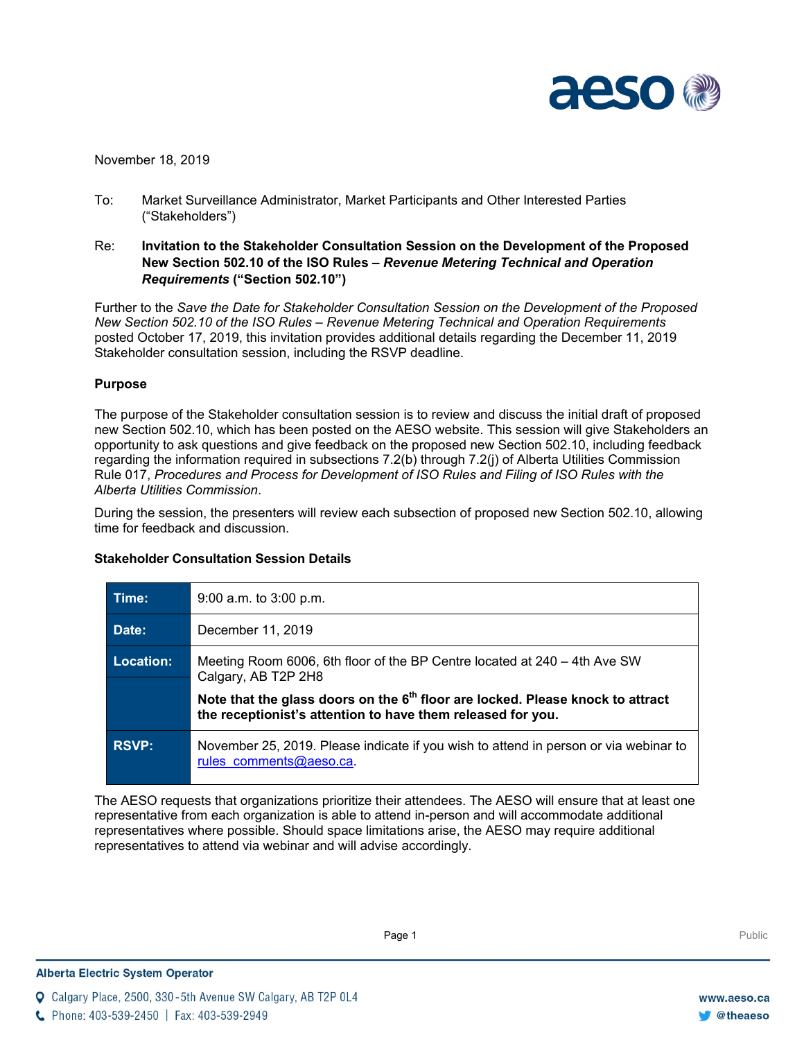

November 18, 2019

- To: Market Surveillance Administrator, Market Participants and Other Interested Parties ("Stakeholders")
- Re: **Invitation to the Stakeholder Consultation Session on the Development of the Proposed New Section 502.10 of the ISO Rules –** *Revenue Metering Technical and Operation Requirements* **("Section 502.10")**

Further to the *Save the Date for Stakeholder Consultation Session on the Development of the Proposed New Section 502.10 of the ISO Rules – Revenue Metering Technical and Operation Requirements* posted October 17, 2019, this invitation provides additional details regarding the December 11, 2019 Stakeholder consultation session, including the RSVP deadline.

# **Purpose**

The purpose of the Stakeholder consultation session is to review and discuss the initial draft of proposed new Section 502.10, which has been posted on the AESO website. This session will give Stakeholders an opportunity to ask questions and give feedback on the proposed new Section 502.10, including feedback regarding the information required in subsections 7.2(b) through 7.2(j) of Alberta Utilities Commission Rule 017, *Procedures and Process for Development of ISO Rules and Filing of ISO Rules with the Alberta Utilities Commission*.

During the session, the presenters will review each subsection of proposed new Section 502.10, allowing time for feedback and discussion.

| Time:        | $9:00$ a.m. to $3:00$ p.m.                                                                                                                                |
|--------------|-----------------------------------------------------------------------------------------------------------------------------------------------------------|
| Date:        | December 11, 2019                                                                                                                                         |
| Location:    | Meeting Room 6006, 6th floor of the BP Centre located at 240 – 4th Ave SW<br>Calgary, AB T2P 2H8                                                          |
|              | Note that the glass doors on the 6 <sup>th</sup> floor are locked. Please knock to attract<br>the receptionist's attention to have them released for you. |
| <b>RSVP:</b> | November 25, 2019. Please indicate if you wish to attend in person or via webinar to<br>rules comments@aeso.ca.                                           |

# **Stakeholder Consultation Session Details**

The AESO requests that organizations prioritize their attendees. The AESO will ensure that at least one representative from each organization is able to attend in-person and will accommodate additional representatives where possible. Should space limitations arise, the AESO may require additional representatives to attend via webinar and will advise accordingly.

Calgary Place, 2500, 330-5th Avenue SW Calgary, AB T2P 0L4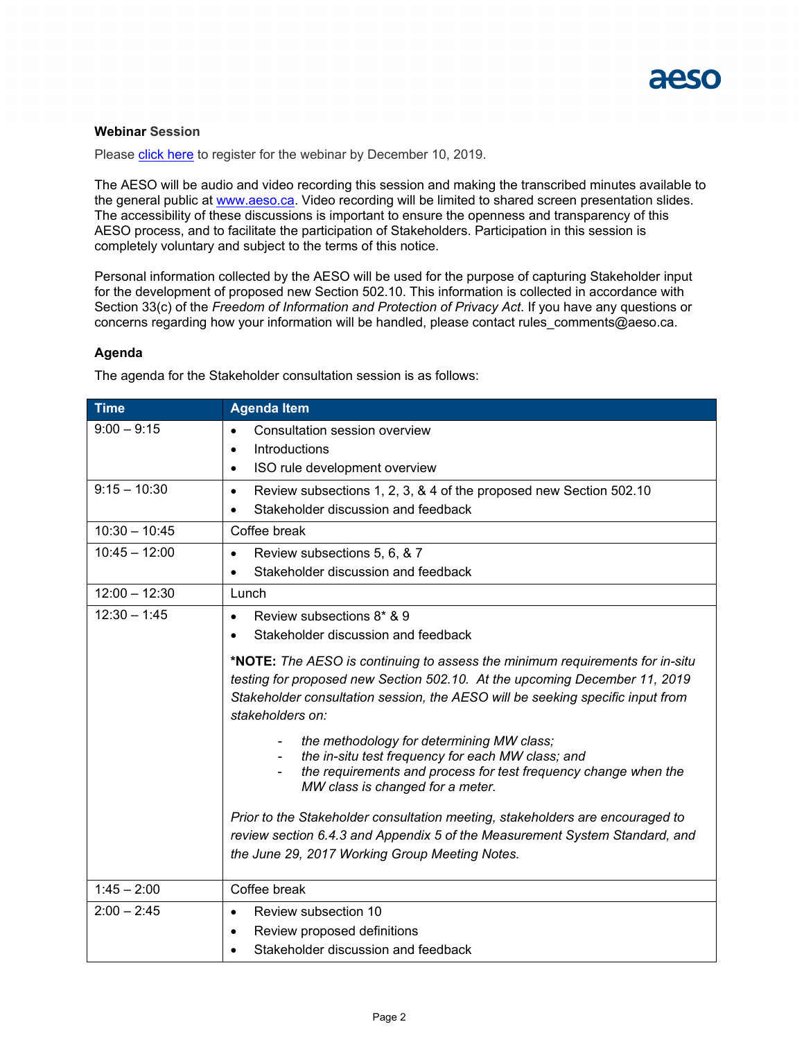

# **Webinar Session**

Please [click here](https://attendee.gotowebinar.com/register/377606780744350220) to register for the webinar by December 10, 2019.

The AESO will be audio and video recording this session and making the transcribed minutes available to the general public at [www.aeso.ca.](http://www.aeso.ca/) Video recording will be limited to shared screen presentation slides. The accessibility of these discussions is important to ensure the openness and transparency of this AESO process, and to facilitate the participation of Stakeholders. Participation in this session is completely voluntary and subject to the terms of this notice.

Personal information collected by the AESO will be used for the purpose of capturing Stakeholder input for the development of proposed new Section 502.10. This information is collected in accordance with Section 33(c) of the *Freedom of Information and Protection of Privacy Act*. If you have any questions or concerns regarding how your information will be handled, please contact rules comments@aeso.ca.

# **Agenda**

The agenda for the Stakeholder consultation session is as follows:

| <b>Time</b>     | <b>Agenda Item</b>                                                                                                                                                                                                                                               |
|-----------------|------------------------------------------------------------------------------------------------------------------------------------------------------------------------------------------------------------------------------------------------------------------|
| $9:00 - 9:15$   | Consultation session overview<br>$\bullet$                                                                                                                                                                                                                       |
|                 | Introductions<br>٠                                                                                                                                                                                                                                               |
|                 | ISO rule development overview<br>$\bullet$                                                                                                                                                                                                                       |
| $9:15 - 10:30$  | Review subsections 1, 2, 3, & 4 of the proposed new Section 502.10<br>$\bullet$                                                                                                                                                                                  |
|                 | Stakeholder discussion and feedback<br>$\bullet$                                                                                                                                                                                                                 |
| $10:30 - 10:45$ | Coffee break                                                                                                                                                                                                                                                     |
| $10:45 - 12:00$ | Review subsections 5, 6, & 7<br>$\bullet$                                                                                                                                                                                                                        |
|                 | Stakeholder discussion and feedback<br>$\bullet$                                                                                                                                                                                                                 |
| $12:00 - 12:30$ | Lunch                                                                                                                                                                                                                                                            |
| $12:30 - 1:45$  | Review subsections 8* & 9<br>$\bullet$                                                                                                                                                                                                                           |
|                 | Stakeholder discussion and feedback<br>$\bullet$                                                                                                                                                                                                                 |
|                 | *NOTE: The AESO is continuing to assess the minimum requirements for in-situ<br>testing for proposed new Section 502.10. At the upcoming December 11, 2019<br>Stakeholder consultation session, the AESO will be seeking specific input from<br>stakeholders on: |
|                 | the methodology for determining MW class;<br>the in-situ test frequency for each MW class; and<br>the requirements and process for test frequency change when the<br>MW class is changed for a meter.                                                            |
|                 | Prior to the Stakeholder consultation meeting, stakeholders are encouraged to<br>review section 6.4.3 and Appendix 5 of the Measurement System Standard, and<br>the June 29, 2017 Working Group Meeting Notes.                                                   |
| $1:45 - 2:00$   | Coffee break                                                                                                                                                                                                                                                     |
| $2:00 - 2:45$   | Review subsection 10<br>$\bullet$                                                                                                                                                                                                                                |
|                 | Review proposed definitions<br>٠                                                                                                                                                                                                                                 |
|                 | Stakeholder discussion and feedback                                                                                                                                                                                                                              |